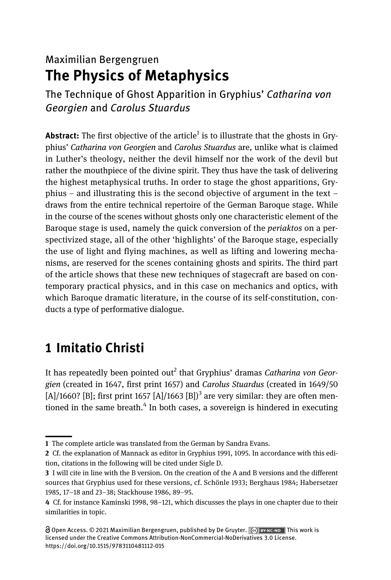## Maximilian Bergengruen The Physics of Metaphysics

The Technique of Ghost Apparition in Gryphius' Catharina von Georgien and Carolus Stuardus

**Abstract:** The first objective of the article<sup>1</sup> is to illustrate that the ghosts in Gryphius' Catharina von Georgien and Carolus Stuardus are, unlike what is claimed in Luther's theology, neither the devil himself nor the work of the devil but rather the mouthpiece of the divine spirit. They thus have the task of delivering the highest metaphysical truths. In order to stage the ghost apparitions, Gryphius – and illustrating this is the second objective of argument in the text – draws from the entire technical repertoire of the German Baroque stage. While in the course of the scenes without ghosts only one characteristic element of the Baroque stage is used, namely the quick conversion of the periaktos on a perspectivized stage, all of the other 'highlights' of the Baroque stage, especially the use of light and flying machines, as well as lifting and lowering mechanisms, are reserved for the scenes containing ghosts and spirits. The third part of the article shows that these new techniques of stagecraft are based on contemporary practical physics, and in this case on mechanics and optics, with which Baroque dramatic literature, in the course of its self-constitution, conducts a type of performative dialogue.

# 1 Imitatio Christi

It has repeatedly been pointed out<sup>2</sup> that Gryphius' dramas Catharina von Georgien (created in 1647, first print 1657) and Carolus Stuardus (created in 1649/50 [A]/1660? [B]; first print 1657 [A]/1663 [B])<sup>3</sup> are very similar; they are often mentioned in the same breath.<sup>4</sup> In both cases, a sovereign is hindered in executing

<sup>1</sup> The complete article was translated from the German by Sandra Evans.

<sup>2</sup> Cf. the explanation of Mannack as editor in Gryphius 1991, 1095. In accordance with this edition, citations in the following will be cited under Sigle D.

<sup>3</sup> I will cite in line with the B version. On the creation of the A and B versions and the different sources that Gryphius used for these versions, cf. Schönle 1933; Berghaus 1984; Habersetzer 1985, 17–18 and 23–38; Stackhouse 1986, 89–95.

<sup>4</sup> Cf. for instance Kaminski 1998, 98–121, which discusses the plays in one chapter due to their similarities in topic.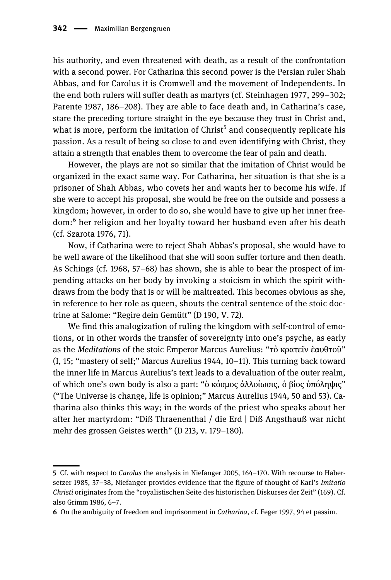his authority, and even threatened with death, as a result of the confrontation with a second power. For Catharina this second power is the Persian ruler Shah Abbas, and for Carolus it is Cromwell and the movement of Independents. In the end both rulers will suffer death as martyrs (cf. Steinhagen 1977, 299–302; Parente 1987, 186–208). They are able to face death and, in Catharina's case, stare the preceding torture straight in the eye because they trust in Christ and, what is more, perform the imitation of  $Christ<sup>5</sup>$  and consequently replicate his passion. As a result of being so close to and even identifying with Christ, they attain a strength that enables them to overcome the fear of pain and death.

However, the plays are not so similar that the imitation of Christ would be organized in the exact same way. For Catharina, her situation is that she is a prisoner of Shah Abbas, who covets her and wants her to become his wife. If she were to accept his proposal, she would be free on the outside and possess a kingdom; however, in order to do so, she would have to give up her inner freedom:<sup>6</sup> her religion and her loyalty toward her husband even after his death (cf. Szarota 1976, 71).

Now, if Catharina were to reject Shah Abbas's proposal, she would have to be well aware of the likelihood that she will soon suffer torture and then death. As Schings (cf. 1968, 57–68) has shown, she is able to bear the prospect of impending attacks on her body by invoking a stoicism in which the spirit withdraws from the body that is or will be maltreated. This becomes obvious as she, in reference to her role as queen, shouts the central sentence of the stoic doctrine at Salome: "Regire dein Gemütt" (D 190, V. 72).

We find this analogization of ruling the kingdom with self-control of emotions, or in other words the transfer of sovereignty into one's psyche, as early as the *Meditations* of the stoic Emperor Marcus Aurelius: "τὸ κρατεῖν ἑαυθτοῦ" (I, 15; "mastery of self;" Marcus Aurelius 1944, 10–11). This turning back toward the inner life in Marcus Aurelius's text leads to a devaluation of the outer realm, of which one's own body is also a part: "ὁ κόσμος ἀλλοίωσις, ὁ βίος ὑπόληψις" ("The Universe is change, life is opinion;" Marcus Aurelius 1944, 50 and 53). Catharina also thinks this way; in the words of the priest who speaks about her after her martyrdom: "Diß Thraenenthal / die Erd | Diß Angsthauß war nicht mehr des grossen Geistes werth" (D 213, v. 179–180).

<sup>5</sup> Cf. with respect to Carolus the analysis in Niefanger 2005, 164–170. With recourse to Habersetzer 1985, 37–38, Niefanger provides evidence that the figure of thought of Karl's Imitatio Christi originates from the "royalistischen Seite des historischen Diskurses der Zeit" (169). Cf. also Grimm 1986, 6–7.

<sup>6</sup> On the ambiguity of freedom and imprisonment in Catharina, cf. Feger 1997, 94 et passim.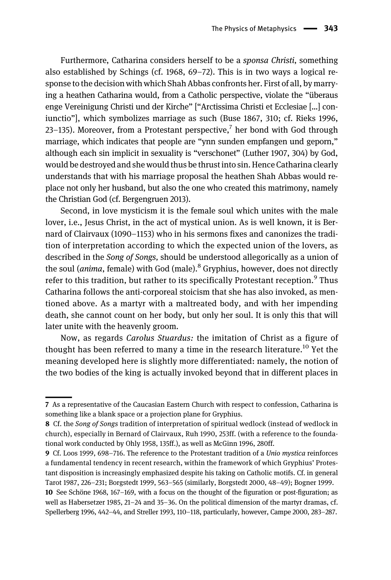Furthermore, Catharina considers herself to be a sponsa Christi, something also established by Schings (cf. 1968, 69–72). This is in two ways a logical response to the decision with which Shah Abbas confronts her. First of all, by marrying a heathen Catharina would, from a Catholic perspective, violate the "überaus enge Vereinigung Christi und der Kirche" ["Arctissima Christi et Ecclesiae […] coniunctio"], which symbolizes marriage as such (Buse 1867, 310; cf. Rieks 1996, 23–135). Moreover, from a Protestant perspective,<sup>7</sup> her bond with God through marriage, which indicates that people are "ynn sunden empfangen und geporn," although each sin implicit in sexuality is "verschonet" (Luther 1907, 304) by God, would be destroyed and she would thus be thrust into sin. Hence Catharina clearly understands that with his marriage proposal the heathen Shah Abbas would replace not only her husband, but also the one who created this matrimony, namely the Christian God (cf. Bergengruen 2013).

Second, in love mysticism it is the female soul which unites with the male lover, i.e., Jesus Christ, in the act of mystical union. As is well known, it is Bernard of Clairvaux (1090–1153) who in his sermons fixes and canonizes the tradition of interpretation according to which the expected union of the lovers, as described in the Song of Songs, should be understood allegorically as a union of the soul (*anima*, female) with God (male).<sup>8</sup> Gryphius, however, does not directly refer to this tradition, but rather to its specifically Protestant reception.<sup>9</sup> Thus Catharina follows the anti-corporeal stoicism that she has also invoked, as mentioned above. As a martyr with a maltreated body, and with her impending death, she cannot count on her body, but only her soul. It is only this that will later unite with the heavenly groom.

Now, as regards Carolus Stuardus: the imitation of Christ as a figure of thought has been referred to many a time in the research literature.<sup>10</sup> Yet the meaning developed here is slightly more differentiated: namely, the notion of the two bodies of the king is actually invoked beyond that in different places in

<sup>7</sup> As a representative of the Caucasian Eastern Church with respect to confession, Catharina is something like a blank space or a projection plane for Gryphius.

<sup>8</sup> Cf. the Song of Songs tradition of interpretation of spiritual wedlock (instead of wedlock in church), especially in Bernard of Clairvaux, Ruh 1990, 253ff. (with a reference to the foundational work conducted by Ohly 1958, 135ff.), as well as McGinn 1996, 280ff.

<sup>9</sup> Cf. Loos 1999, 698–716. The reference to the Protestant tradition of a Unio mystica reinforces a fundamental tendency in recent research, within the framework of which Gryphius' Protestant disposition is increasingly emphasized despite his taking on Catholic motifs. Cf. in general Tarot 1987, 226–231; Borgstedt 1999, 563–565 (similarly, Borgstedt 2000, 48–49); Bogner 1999.

<sup>10</sup> See Schöne 1968, 167–169, with a focus on the thought of the figuration or post-figuration; as well as Habersetzer 1985, 21–24 and 35–36. On the political dimension of the martyr dramas, cf. Spellerberg 1996, 442–44, and Streller 1993, 110–118, particularly, however, Campe 2000, 283–287.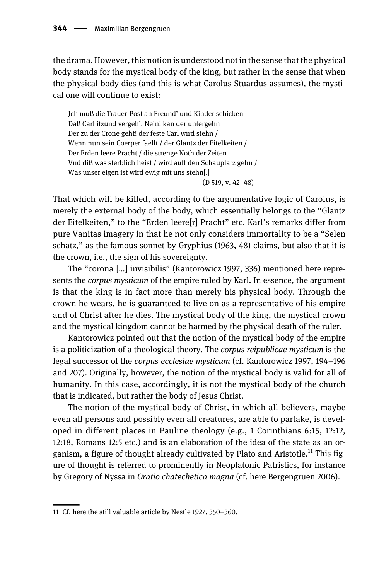the drama. However, this notion is understood not in the sense that the physical body stands for the mystical body of the king, but rather in the sense that when the physical body dies (and this is what Carolus Stuardus assumes), the mystical one will continue to exist:

Jch muß die Trauer-Post an Freund' und Kinder schicken Daß Carl itzund vergeh'. Nein! kan der untergehn Der zu der Crone geht! der feste Carl wird stehn / Wenn nun sein Coerper faellt / der Glantz der Eitelkeiten / Der Erden leere Pracht / die strenge Noth der Zeiten Vnd diß was sterblich heist / wird auff den Schauplatz gehn / Was unser eigen ist wird ewig mit uns stehn[.] (D 519, v. 42–48)

That which will be killed, according to the argumentative logic of Carolus, is merely the external body of the body, which essentially belongs to the "Glantz der Eitelkeiten," to the "Erden leere[r] Pracht" etc. Karl's remarks differ from pure Vanitas imagery in that he not only considers immortality to be a "Selen schatz," as the famous sonnet by Gryphius (1963, 48) claims, but also that it is the crown, i.e., the sign of his sovereignty.

The "corona […] invisibilis" (Kantorowicz 1997, 336) mentioned here represents the corpus mysticum of the empire ruled by Karl. In essence, the argument is that the king is in fact more than merely his physical body. Through the crown he wears, he is guaranteed to live on as a representative of his empire and of Christ after he dies. The mystical body of the king, the mystical crown and the mystical kingdom cannot be harmed by the physical death of the ruler.

Kantorowicz pointed out that the notion of the mystical body of the empire is a politicization of a theological theory. The corpus reipublicae mysticum is the legal successor of the corpus ecclesiae mysticum (cf. Kantorowicz 1997, 194–196 and 207). Originally, however, the notion of the mystical body is valid for all of humanity. In this case, accordingly, it is not the mystical body of the church that is indicated, but rather the body of Jesus Christ.

The notion of the mystical body of Christ, in which all believers, maybe even all persons and possibly even all creatures, are able to partake, is developed in different places in Pauline theology (e.g., 1 Corinthians 6:15, 12:12, 12:18, Romans 12:5 etc.) and is an elaboration of the idea of the state as an organism, a figure of thought already cultivated by Plato and Aristotle.<sup>11</sup> This figure of thought is referred to prominently in Neoplatonic Patristics, for instance by Gregory of Nyssa in Oratio chatechetica magna (cf. here Bergengruen 2006).

<sup>11</sup> Cf. here the still valuable article by Nestle 1927, 350–360.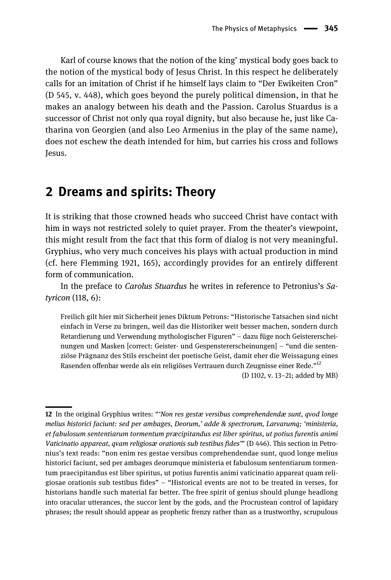Karl of course knows that the notion of the king' mystical body goes back to the notion of the mystical body of Jesus Christ. In this respect he deliberately calls for an imitation of Christ if he himself lays claim to "Der Ewikeiten Cron" (D 545, v. 448), which goes beyond the purely political dimension, in that he makes an analogy between his death and the Passion. Carolus Stuardus is a successor of Christ not only qua royal dignity, but also because he, just like Catharina von Georgien (and also Leo Armenius in the play of the same name), does not eschew the death intended for him, but carries his cross and follows Jesus.

#### 2 Dreams and spirits: Theory

It is striking that those crowned heads who succeed Christ have contact with him in ways not restricted solely to quiet prayer. From the theater's viewpoint, this might result from the fact that this form of dialog is not very meaningful. Gryphius, who very much conceives his plays with actual production in mind (cf. here Flemming 1921, 165), accordingly provides for an entirely different form of communication.

In the preface to Carolus Stuardus he writes in reference to Petronius's Satyricon (118, 6):

Freilich gilt hier mit Sicherheit jenes Diktum Petrons: "Historische Tatsachen sind nicht einfach in Verse zu bringen, weil das die Historiker weit besser machen, sondern durch Retardierung und Verwendung mythologischer Figuren" – dazu füge noch Geistererscheinungen und Masken [correct: Geister- und Gespenstererscheinungen] – "und die sentenziöse Prägnanz des Stils erscheint der poetische Geist, damit eher die Weissagung eines Rasenden offenbar werde als ein religiöses Vertrauen durch Zeugnisse einer Rede."<sup>12</sup>

(D 1102, v. 13–21; added by MB)

<sup>12</sup> In the original Gryphius writes: "'Non res gestæ versibus comprehendendæ sunt, qvod longe melius historici faciunt: sed per ambages, Deorum,' adde & spectrorum, Larvarumq; 'ministeria, et fabulosum sententiarum tormentum præcipitandus est liber spiritus, ut potius furentis animi Vaticinatio appareat, qvam religiosæ orationis sub testibus fides'" (D 446). This section in Petronius's text reads: "non enim res gestae versibus comprehendendae sunt, quod longe melius historici faciunt, sed per ambages deorumque ministeria et fabulosum sententiarum tormentum praecipitandus est liber spiritus, ut potius furentis animi vaticinatio appareat quam religiosae orationis sub testibus fides"–"Historical events are not to be treated in verses, for historians handle such material far better. The free spirit of genius should plunge headlong into oracular utterances, the succor lent by the gods, and the Procrustean control of lapidary phrases; the result should appear as prophetic frenzy rather than as a trustworthy, scrupulous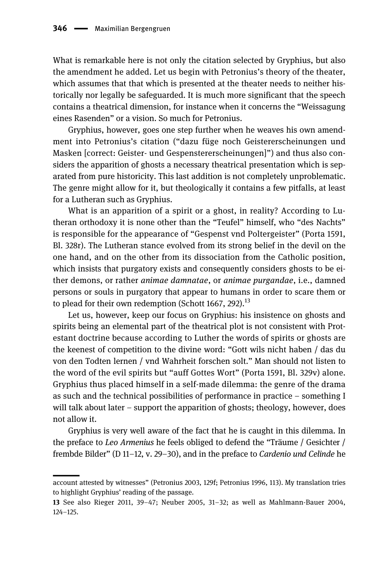What is remarkable here is not only the citation selected by Gryphius, but also the amendment he added. Let us begin with Petronius's theory of the theater, which assumes that that which is presented at the theater needs to neither historically nor legally be safeguarded. It is much more significant that the speech contains a theatrical dimension, for instance when it concerns the "Weissagung eines Rasenden" or a vision. So much for Petronius.

Gryphius, however, goes one step further when he weaves his own amendment into Petronius's citation ("dazu füge noch Geistererscheinungen und Masken [correct: Geister- und Gespenstererscheinungen]") and thus also considers the apparition of ghosts a necessary theatrical presentation which is separated from pure historicity. This last addition is not completely unproblematic. The genre might allow for it, but theologically it contains a few pitfalls, at least for a Lutheran such as Gryphius.

What is an apparition of a spirit or a ghost, in reality? According to Lutheran orthodoxy it is none other than the "Teufel" himself, who "des Nachts" is responsible for the appearance of "Gespenst vnd Poltergeister" (Porta 1591, Bl. 328r). The Lutheran stance evolved from its strong belief in the devil on the one hand, and on the other from its dissociation from the Catholic position, which insists that purgatory exists and consequently considers ghosts to be either demons, or rather animae damnatae, or animae purgandae, i.e., damned persons or souls in purgatory that appear to humans in order to scare them or to plead for their own redemption (Schott 1667, 292).<sup>13</sup>

Let us, however, keep our focus on Gryphius: his insistence on ghosts and spirits being an elemental part of the theatrical plot is not consistent with Protestant doctrine because according to Luther the words of spirits or ghosts are the keenest of competition to the divine word: "Gott wils nicht haben / das du von den Todten lernen / vnd Wahrheit forschen solt." Man should not listen to the word of the evil spirits but "auff Gottes Wort" (Porta 1591, Bl. 329v) alone. Gryphius thus placed himself in a self-made dilemma: the genre of the drama as such and the technical possibilities of performance in practice – something I will talk about later – support the apparition of ghosts; theology, however, does not allow it.

Gryphius is very well aware of the fact that he is caught in this dilemma. In the preface to Leo Armenius he feels obliged to defend the "Träume / Gesichter / frembde Bilder" (D 11–12, v. 29–30), and in the preface to Cardenio und Celinde he

account attested by witnesses" (Petronius 2003, 129f; Petronius 1996, 113). My translation tries to highlight Gryphius' reading of the passage.

<sup>13</sup> See also Rieger 2011, 39–47; Neuber 2005, 31–32; as well as Mahlmann-Bauer 2004, 124–125.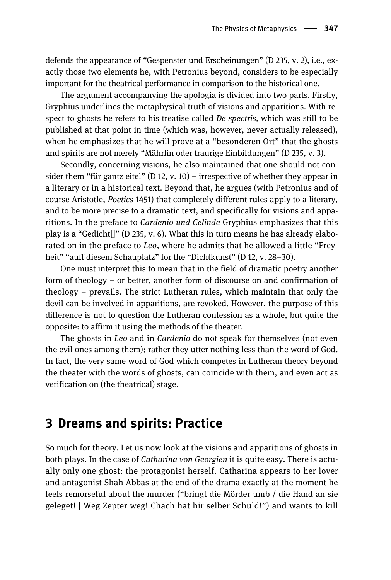defends the appearance of "Gespenster und Erscheinungen" (D 235, v. 2), i.e., exactly those two elements he, with Petronius beyond, considers to be especially important for the theatrical performance in comparison to the historical one.

The argument accompanying the apologia is divided into two parts. Firstly, Gryphius underlines the metaphysical truth of visions and apparitions. With respect to ghosts he refers to his treatise called *De spectris*, which was still to be published at that point in time (which was, however, never actually released), when he emphasizes that he will prove at a "besonderen Ort" that the ghosts and spirits are not merely "Mährlin oder traurige Einbildungen" (D 235, v. 3).

Secondly, concerning visions, he also maintained that one should not consider them "für gantz eitel" (D 12, v. 10) – irrespective of whether they appear in a literary or in a historical text. Beyond that, he argues (with Petronius and of course Aristotle, Poetics 1451) that completely different rules apply to a literary, and to be more precise to a dramatic text, and specifically for visions and apparitions. In the preface to Cardenio und Celinde Gryphius emphasizes that this play is a "Gedicht[]" (D 235, v. 6). What this in turn means he has already elaborated on in the preface to Leo, where he admits that he allowed a little "Freyheit" "auff diesem Schauplatz" for the "Dichtkunst" (D 12, v. 28–30).

One must interpret this to mean that in the field of dramatic poetry another form of theology – or better, another form of discourse on and confirmation of theology – prevails. The strict Lutheran rules, which maintain that only the devil can be involved in apparitions, are revoked. However, the purpose of this difference is not to question the Lutheran confession as a whole, but quite the opposite: to affirm it using the methods of the theater.

The ghosts in Leo and in Cardenio do not speak for themselves (not even the evil ones among them); rather they utter nothing less than the word of God. In fact, the very same word of God which competes in Lutheran theory beyond the theater with the words of ghosts, can coincide with them, and even act as verification on (the theatrical) stage.

### 3 Dreams and spirits: Practice

So much for theory. Let us now look at the visions and apparitions of ghosts in both plays. In the case of *Catharina von Georgien* it is quite easy. There is actually only one ghost: the protagonist herself. Catharina appears to her lover and antagonist Shah Abbas at the end of the drama exactly at the moment he feels remorseful about the murder ("bringt die Mörder umb / die Hand an sie geleget! | Weg Zepter weg! Chach hat hir selber Schuld!") and wants to kill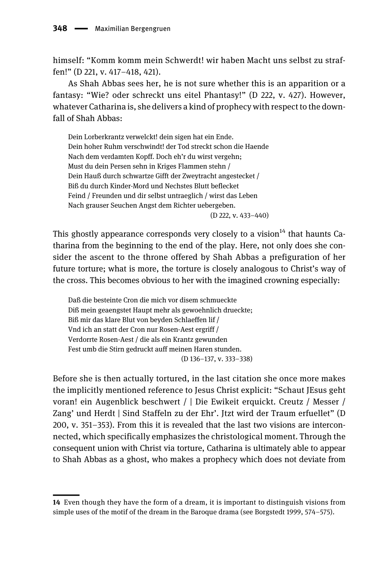himself: "Komm komm mein Schwerdt! wir haben Macht uns selbst zu straffen!" (D 221, v. 417–418, 421).

As Shah Abbas sees her, he is not sure whether this is an apparition or a fantasy: "Wie? oder schreckt uns eitel Phantasy!" (D 222, v. 427). However, whatever Catharina is, she delivers a kind of prophecy with respect to the downfall of Shah Abbas:

Dein Lorberkrantz verwelckt! dein sigen hat ein Ende. Dein hoher Ruhm verschwindt! der Tod streckt schon die Haende Nach dem verdamten Kopff. Doch eh'r du wirst vergehn; Must du dein Persen sehn in Kriges Flammen stehn / Dein Hauß durch schwartze Gifft der Zweytracht angestecket / Biß du durch Kinder-Mord und Nechstes Blutt beflecket Feind / Freunden und dir selbst untraeglich / wirst das Leben Nach grauser Seuchen Angst dem Richter uebergeben. (D 222, v. 433–440)

This ghostly appearance corresponds very closely to a vision<sup>14</sup> that haunts Catharina from the beginning to the end of the play. Here, not only does she consider the ascent to the throne offered by Shah Abbas a prefiguration of her future torture; what is more, the torture is closely analogous to Christ's way of the cross. This becomes obvious to her with the imagined crowning especially:

Daß die besteinte Cron die mich vor disem schmueckte Diß mein geaengstet Haupt mehr als gewoehnlich drueckte; Biß mir das klare Blut von beyden Schlaeffen lif / Vnd ich an statt der Cron nur Rosen-Aest ergriff / Verdorrte Rosen-Aest / die als ein Krantz gewunden Fest umb die Stirn gedruckt auff meinen Haren stunden. (D 136–137, v. 333–338)

Before she is then actually tortured, in the last citation she once more makes the implicitly mentioned reference to Jesus Christ explicit: "Schaut JEsus geht voran! ein Augenblick beschwert / | Die Ewikeit erquickt. Creutz / Messer / Zang' und Herdt | Sind Staffeln zu der Ehr'. Jtzt wird der Traum erfuellet" (D 200, v. 351–353). From this it is revealed that the last two visions are interconnected, which specifically emphasizes the christological moment. Through the consequent union with Christ via torture, Catharina is ultimately able to appear to Shah Abbas as a ghost, who makes a prophecy which does not deviate from

<sup>14</sup> Even though they have the form of a dream, it is important to distinguish visions from simple uses of the motif of the dream in the Baroque drama (see Borgstedt 1999, 574–575).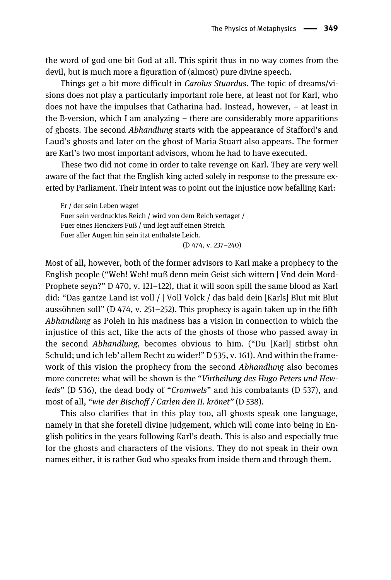the word of god one bit God at all. This spirit thus in no way comes from the devil, but is much more a figuration of (almost) pure divine speech.

Things get a bit more difficult in Carolus Stuardus. The topic of dreams/visions does not play a particularly important role here, at least not for Karl, who does not have the impulses that Catharina had. Instead, however, – at least in the B-version, which I am analyzing  $-$  there are considerably more apparitions of ghosts. The second Abhandlung starts with the appearance of Stafford's and Laud's ghosts and later on the ghost of Maria Stuart also appears. The former are Karl's two most important advisors, whom he had to have executed.

These two did not come in order to take revenge on Karl. They are very well aware of the fact that the English king acted solely in response to the pressure exerted by Parliament. Their intent was to point out the injustice now befalling Karl:

Er / der sein Leben waget Fuer sein verdrucktes Reich / wird von dem Reich vertaget / Fuer eines Henckers Fuß / und legt auff einen Streich Fuer aller Augen hin sein itzt enthalste Leich. (D 474, v. 237–240)

Most of all, however, both of the former advisors to Karl make a prophecy to the English people ("Weh! Weh! muß denn mein Geist sich wittern | Vnd dein Mord-Prophete seyn?" D 470, v. 121–122), that it will soon spill the same blood as Karl did: "Das gantze Land ist voll / | Voll Volck / das bald dein [Karls] Blut mit Blut aussöhnen soll" (D 474, v. 251–252). This prophecy is again taken up in the fifth Abhandlung as Poleh in his madness has a vision in connection to which the injustice of this act, like the acts of the ghosts of those who passed away in the second Abhandlung, becomes obvious to him. ("Du [Karl] stirbst ohn Schuld; und ich leb' allem Recht zu wider!" D 535, v. 161). And within the framework of this vision the prophecy from the second Abhandlung also becomes more concrete: what will be shown is the "Virtheilung des Hugo Peters und Hewleds" (D 536), the dead body of "Cromwels" and his combatants (D 537), and most of all, "wie der Bischoff / Carlen den II. krönet" (D 538).

This also clarifies that in this play too, all ghosts speak one language, namely in that she foretell divine judgement, which will come into being in English politics in the years following Karl's death. This is also and especially true for the ghosts and characters of the visions. They do not speak in their own names either, it is rather God who speaks from inside them and through them.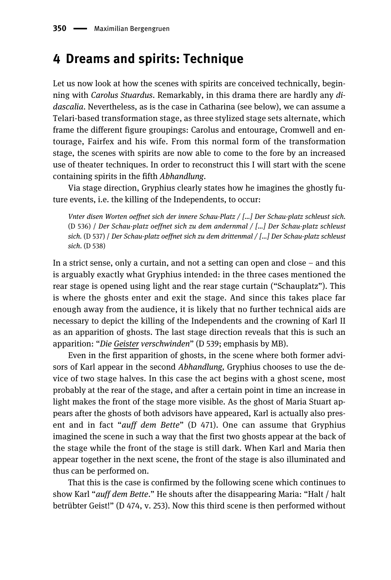### 4 Dreams and spirits: Technique

Let us now look at how the scenes with spirits are conceived technically, beginning with Carolus Stuardus. Remarkably, in this drama there are hardly any didascalia. Nevertheless, as is the case in Catharina (see below), we can assume a Telari-based transformation stage, as three stylized stage sets alternate, which frame the different figure groupings: Carolus and entourage, Cromwell and entourage, Fairfex and his wife. From this normal form of the transformation stage, the scenes with spirits are now able to come to the fore by an increased use of theater techniques. In order to reconstruct this I will start with the scene containing spirits in the fifth Abhandlung.

Via stage direction, Gryphius clearly states how he imagines the ghostly future events, i.e. the killing of the Independents, to occur:

Vnter disen Worten oeffnet sich der innere Schau-Platz / […] Der Schau-platz schleust sich. (D 536) / Der Schau-platz oeffnet sich zu dem andernmal / […] Der Schau-platz schleust sich. (D 537) / Der Schau-platz oeffnet sich zu dem drittenmal / […] Der Schau-platz schleust sich. (D 538)

In a strict sense, only a curtain, and not a setting can open and close – and this is arguably exactly what Gryphius intended: in the three cases mentioned the rear stage is opened using light and the rear stage curtain ("Schauplatz"). This is where the ghosts enter and exit the stage. And since this takes place far enough away from the audience, it is likely that no further technical aids are necessary to depict the killing of the Independents and the crowning of Karl II as an apparition of ghosts. The last stage direction reveals that this is such an apparition: "Die Geister verschwinden" (D 539; emphasis by MB).

Even in the first apparition of ghosts, in the scene where both former advisors of Karl appear in the second Abhandlung, Gryphius chooses to use the device of two stage halves. In this case the act begins with a ghost scene, most probably at the rear of the stage, and after a certain point in time an increase in light makes the front of the stage more visible. As the ghost of Maria Stuart appears after the ghosts of both advisors have appeared, Karl is actually also present and in fact "*auff dem Bette*" (D 471). One can assume that Gryphius imagined the scene in such a way that the first two ghosts appear at the back of the stage while the front of the stage is still dark. When Karl and Maria then appear together in the next scene, the front of the stage is also illuminated and thus can be performed on.

That this is the case is confirmed by the following scene which continues to show Karl "auff dem Bette." He shouts after the disappearing Maria: "Halt / halt betrübter Geist!" (D 474, v. 253). Now this third scene is then performed without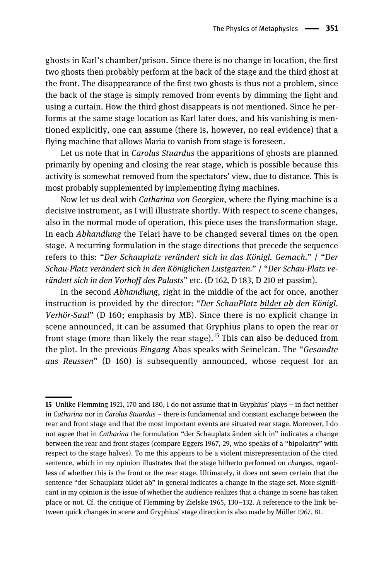ghosts in Karl's chamber/prison. Since there is no change in location, the first two ghosts then probably perform at the back of the stage and the third ghost at the front. The disappearance of the first two ghosts is thus not a problem, since the back of the stage is simply removed from events by dimming the light and using a curtain. How the third ghost disappears is not mentioned. Since he performs at the same stage location as Karl later does, and his vanishing is mentioned explicitly, one can assume (there is, however, no real evidence) that a flying machine that allows Maria to vanish from stage is foreseen.

Let us note that in *Carolus Stuardus* the apparitions of ghosts are planned primarily by opening and closing the rear stage, which is possible because this activity is somewhat removed from the spectators' view, due to distance. This is most probably supplemented by implementing flying machines.

Now let us deal with Catharina von Georgien, where the flying machine is a decisive instrument, as I will illustrate shortly. With respect to scene changes, also in the normal mode of operation, this piece uses the transformation stage. In each Abhandlung the Telari have to be changed several times on the open stage. A recurring formulation in the stage directions that precede the sequence refers to this: "Der Schauplatz verändert sich in das Königl. Gemach." / "Der Schau-Platz verändert sich in den Königlichen Lustgarten." / "Der Schau-Platz verändert sich in den Vorhoff des Palasts" etc. (D 162, D 183, D 210 et passim).

In the second Abhandlung, right in the middle of the act for once, another instruction is provided by the director: "Der SchauPlatz bildet ab den Königl. Verhör-Saal" (D 160; emphasis by MB). Since there is no explicit change in scene announced, it can be assumed that Gryphius plans to open the rear or front stage (more than likely the rear stage).<sup>15</sup> This can also be deduced from the plot. In the previous Eingang Abas speaks with Seinelcan. The "Gesandte aus Reussen" (D 160) is subsequently announced, whose request for an

<sup>15</sup> Unlike Flemming 1921, 170 and 180, I do not assume that in Gryphius' plays – in fact neither in Catharina nor in Carolus Stuardus – there is fundamental and constant exchange between the rear and front stage and that the most important events are situated rear stage. Moreover, I do not agree that in *Catharina* the formulation "der Schauplatz ändert sich in" indicates a change between the rear and front stages (compare Eggers 1967, 29, who speaks of a "bipolarity" with respect to the stage halves). To me this appears to be a violent misrepresentation of the cited sentence, which in my opinion illustrates that the stage hitherto performed on changes, regardless of whether this is the front or the rear stage. Ultimately, it does not seem certain that the sentence "der Schauplatz bildet ab" in general indicates a change in the stage set. More significant in my opinion is the issue of whether the audience realizes that a change in scene has taken place or not. Cf. the critique of Flemming by Zielske 1965, 130–132. A reference to the link between quick changes in scene and Gryphius' stage direction is also made by Müller 1967, 81.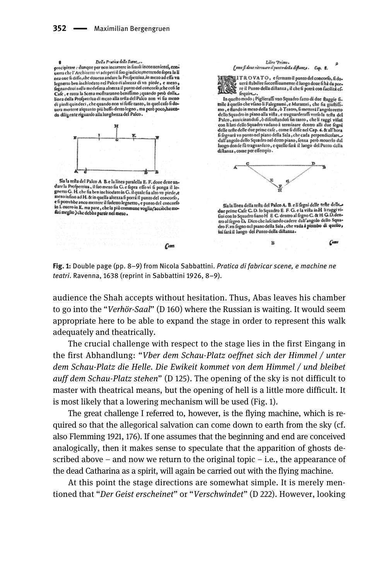Della Pratica delle Scene ø precipitare : dunque per non incorrere in fimili inconuenienti, conprecipitate? cumque per non mediter in minimal contemning connea oue fi diffe, che doueua andare la Profpettiua, in mezo ad effa vn legnerto ben inchiodato nel Palco di alrezza di vn piede, e mezo, fegnandoui nella medefima altezza il punto del concorfo che cofi le Cafe , e tutta la Scena moftraranno benifimo ; quando però dalla. linea della Profpettiua di mezo alla tella del Palco non vi fia meno di piedi quindeci, che quando non vi foffe tanto, in quel cafo fi dodi piedi quinoeci, che quando non vi tolie tanto, in quel calo li do-<br>uera mettere alquanto più baffo detto legno, ma però poco, hauen-<br>do diligente riguardo alla lunghezza del Palco.



Sia la tefta del Palco A B. e la linea paralella E. F. dove deve anda la tetta dei Patco A B. e la intea paraiella E. F. dove deve an-<br>dare la Profpertiva, il fuo mezo fia G. e fopra effo vi fi ponga il le-<br>gnerto G. H. che fia ben inchiodato in G. il quale fia alto vn piede, e mezo infino ad H. & in quella altezza fi porrà il punto del concorlo, e fi potrebbe anco mettere il fudetto legnetto, e punto del concorio in Loueroin K. ma pare , che la più commune voglia (acciòche mo-<br>in Loueroin K. ma pare , che la più commune voglia (acciòche mo-



ITROVATO, e fermato il punto del concorfo, fi do-All the OVA 1 OC eternation institute of the dapper and the process of the space of the dapper cent of the dapper control to the dapper control of the dapper control of the dapper control of the dapper control of the dappe

In quefto modo ; Piglieraffi vno Squadro fatto di due ftaggie fiinquello che viano li Falegranni, e Muratori, che fia giuditi.<br>
mo, e fiano li Falegranni, e Muratori, che fia giuditi.<br>
mo, e fiano li mezo della Sala, ò Teatro, fi mettera l'angoloretto<br>
dello Squadro in piano alla vifta , auuicinandofi, ò difcoftandofi fin tanto, che li raggi vifiui Palco con li lati dello Squadro vadano à terminare dentro alli due fegni delle tefte delle due prime cafe, come fi diffe nel Cap. 6. & all'hora dell'angolo dello Squadro nel piano della Sala, che cada perpendicolare-<br>dall'angolo dello Squadro nel detto piano, fenza però mouerlo dal<br>dall'angolo dello Squadro nel detto piano, fenza però mouerlo dal<br>luogo donde fu tr diftanza, come per effempio.



Sia la linea della tefta del Palco A. B. e li fegni delle tefte delle. Siala linea della techni del Palor A. B. e li fegui delle tette della ceptine Cafe C.D. lo Squadro E. F. G. e la vitta in H li raggi vi-<br>fui con lo Squadro fiano H E C. dentro al fegno C. & H G.D.dentro al fegno D. Dicco c

 $\mathbf{R}$ 

 $C$ ome



 $Com$ 

audience the Shah accepts without hesitation. Thus, Abas leaves his chamber to go into the "Verhör-Saal" (D 160) where the Russian is waiting. It would seem appropriate here to be able to expand the stage in order to represent this walk adequately and theatrically.

The crucial challenge with respect to the stage lies in the first Eingang in the first Abhandlung: "Vber dem Schau-Platz oeffnet sich der Himmel / unter dem Schau-Platz die Helle. Die Ewikeit kommet von dem Himmel / und bleibet auff dem Schau-Platz stehen" (D 125). The opening of the sky is not difficult to master with theatrical means, but the opening of hell is a little more difficult. It is most likely that a lowering mechanism will be used (Fig. 1).

The great challenge I referred to, however, is the flying machine, which is required so that the allegorical salvation can come down to earth from the sky (cf. also Flemming 1921, 176). If one assumes that the beginning and end are conceived analogically, then it makes sense to speculate that the apparition of ghosts described above – and now we return to the original topic – i.e., the appearance of the dead Catharina as a spirit, will again be carried out with the flying machine.

At this point the stage directions are somewhat simple. It is merely mentioned that "Der Geist erscheinet" or "Verschwindet" (D 222). However, looking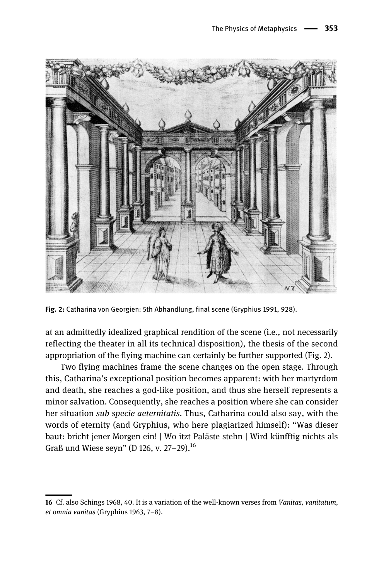

Fig. 2: Catharina von Georgien: 5th Abhandlung, final scene (Gryphius 1991, 928).

at an admittedly idealized graphical rendition of the scene (i.e., not necessarily reflecting the theater in all its technical disposition), the thesis of the second appropriation of the flying machine can certainly be further supported (Fig. 2).

Two flying machines frame the scene changes on the open stage. Through this, Catharina's exceptional position becomes apparent: with her martyrdom and death, she reaches a god-like position, and thus she herself represents a minor salvation. Consequently, she reaches a position where she can consider her situation *sub specie aeternitatis*. Thus, Catharina could also say, with the words of eternity (and Gryphius, who here plagiarized himself): "Was dieser baut: bricht jener Morgen ein! | Wo itzt Paläste stehn | Wird künfftig nichts als Graß und Wiese seyn" (D 126, v. 27–29).<sup>16</sup>

<sup>16</sup> Cf. also Schings 1968, 40. It is a variation of the well-known verses from Vanitas, vanitatum, et omnia vanitas (Gryphius 1963, 7–8).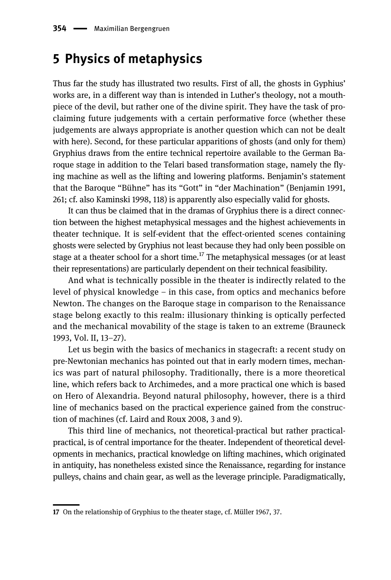#### 5 Physics of metaphysics

Thus far the study has illustrated two results. First of all, the ghosts in Gyphius' works are, in a different way than is intended in Luther's theology, not a mouthpiece of the devil, but rather one of the divine spirit. They have the task of proclaiming future judgements with a certain performative force (whether these judgements are always appropriate is another question which can not be dealt with here). Second, for these particular apparitions of ghosts (and only for them) Gryphius draws from the entire technical repertoire available to the German Baroque stage in addition to the Telari based transformation stage, namely the flying machine as well as the lifting and lowering platforms. Benjamin's statement that the Baroque "Bühne" has its "Gott" in "der Machination" (Benjamin 1991, 261; cf. also Kaminski 1998, 118) is apparently also especially valid for ghosts.

It can thus be claimed that in the dramas of Gryphius there is a direct connection between the highest metaphysical messages and the highest achievements in theater technique. It is self-evident that the effect-oriented scenes containing ghosts were selected by Gryphius not least because they had only been possible on stage at a theater school for a short time.<sup>17</sup> The metaphysical messages (or at least their representations) are particularly dependent on their technical feasibility.

And what is technically possible in the theater is indirectly related to the level of physical knowledge – in this case, from optics and mechanics before Newton. The changes on the Baroque stage in comparison to the Renaissance stage belong exactly to this realm: illusionary thinking is optically perfected and the mechanical movability of the stage is taken to an extreme (Brauneck 1993, Vol. II, 13–27).

Let us begin with the basics of mechanics in stagecraft: a recent study on pre-Newtonian mechanics has pointed out that in early modern times, mechanics was part of natural philosophy. Traditionally, there is a more theoretical line, which refers back to Archimedes, and a more practical one which is based on Hero of Alexandria. Beyond natural philosophy, however, there is a third line of mechanics based on the practical experience gained from the construction of machines (cf. Laird and Roux 2008, 3 and 9).

This third line of mechanics, not theoretical-practical but rather practicalpractical, is of central importance for the theater. Independent of theoretical developments in mechanics, practical knowledge on lifting machines, which originated in antiquity, has nonetheless existed since the Renaissance, regarding for instance pulleys, chains and chain gear, as well as the leverage principle. Paradigmatically,

<sup>17</sup> On the relationship of Gryphius to the theater stage, cf. Müller 1967, 37.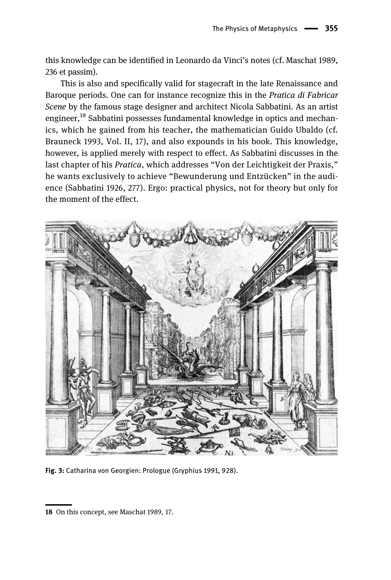this knowledge can be identified in Leonardo da Vinci's notes (cf. Maschat 1989, 236 et passim).

This is also and specifically valid for stagecraft in the late Renaissance and Baroque periods. One can for instance recognize this in the Pratica di Fabricar Scene by the famous stage designer and architect Nicola Sabbatini. As an artist engineer,<sup>18</sup> Sabbatini possesses fundamental knowledge in optics and mechanics, which he gained from his teacher, the mathematician Guido Ubaldo (cf. Brauneck 1993, Vol. II, 17), and also expounds in his book. This knowledge, however, is applied merely with respect to effect. As Sabbatini discusses in the last chapter of his Pratica, which addresses "Von der Leichtigkeit der Praxis," he wants exclusively to achieve "Bewunderung und Entzücken" in the audience (Sabbatini 1926, 277). Ergo: practical physics, not for theory but only for the moment of the effect.



Fig. 3: Catharina von Georgien: Prologue (Gryphius 1991, 928).

<sup>18</sup> On this concept, see Maschat 1989, 17.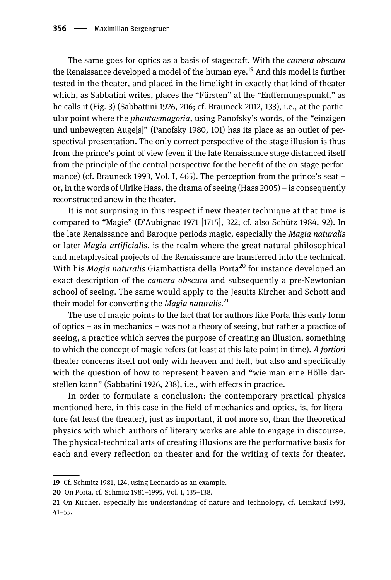The same goes for optics as a basis of stagecraft. With the *camera obscura* the Renaissance developed a model of the human eve.<sup>19</sup> And this model is further tested in the theater, and placed in the limelight in exactly that kind of theater which, as Sabbatini writes, places the "Fürsten" at the "Entfernungspunkt," as he calls it (Fig. 3) (Sabbattini 1926, 206; cf. Brauneck 2012, 133), i.e., at the particular point where the *phantasmagoria*, using Panofsky's words, of the "einzigen und unbewegten Auge[s]" (Panofsky 1980, 101) has its place as an outlet of perspectival presentation. The only correct perspective of the stage illusion is thus from the prince's point of view (even if the late Renaissance stage distanced itself from the principle of the central perspective for the benefit of the on-stage performance) (cf. Brauneck 1993, Vol. I, 465). The perception from the prince's seat – or, in the words of Ulrike Hass, the drama of seeing (Hass 2005) – is consequently reconstructed anew in the theater.

It is not surprising in this respect if new theater technique at that time is compared to "Magie" (D'Aubignac 1971 [1715], 322; cf. also Schütz 1984, 92). In the late Renaissance and Baroque periods magic, especially the Magia naturalis or later Magia artificialis, is the realm where the great natural philosophical and metaphysical projects of the Renaissance are transferred into the technical. With his *Magia naturalis* Giambattista della Porta<sup>20</sup> for instance developed an exact description of the camera obscura and subsequently a pre-Newtonian school of seeing. The same would apply to the Jesuits Kircher and Schott and their model for converting the *Magia naturalis*.<sup>21</sup>

The use of magic points to the fact that for authors like Porta this early form of optics – as in mechanics – was not a theory of seeing, but rather a practice of seeing, a practice which serves the purpose of creating an illusion, something to which the concept of magic refers (at least at this late point in time). A fortiori theater concerns itself not only with heaven and hell, but also and specifically with the question of how to represent heaven and "wie man eine Hölle darstellen kann" (Sabbatini 1926, 238), i.e., with effects in practice.

In order to formulate a conclusion: the contemporary practical physics mentioned here, in this case in the field of mechanics and optics, is, for literature (at least the theater), just as important, if not more so, than the theoretical physics with which authors of literary works are able to engage in discourse. The physical-technical arts of creating illusions are the performative basis for each and every reflection on theater and for the writing of texts for theater.

<sup>19</sup> Cf. Schmitz 1981, 124, using Leonardo as an example.

<sup>20</sup> On Porta, cf. Schmitz 1981–1995, Vol. I, 135–138.

<sup>21</sup> On Kircher, especially his understanding of nature and technology, cf. Leinkauf 1993, 41–55.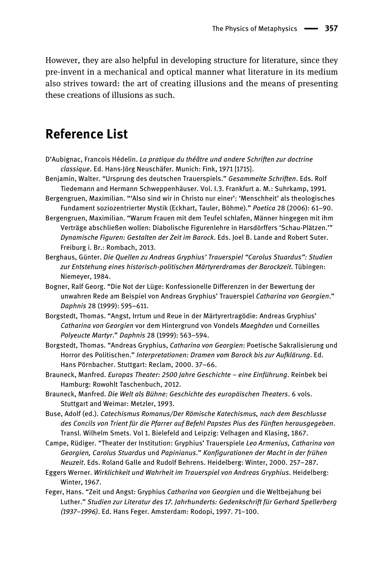However, they are also helpful in developing structure for literature, since they pre-invent in a mechanical and optical manner what literature in its medium also strives toward: the art of creating illusions and the means of presenting these creations of illusions as such.

### Reference List

- D'Aubignac, Francois Hédelin. La pratique du théâtre und andere Schriften zur doctrine classique. Ed. Hans-Jörg Neuschäfer. Munich: Fink, 1971 [1715].
- Benjamin, Walter. "Ursprung des deutschen Trauerspiels." Gesammelte Schriften. Eds. Rolf Tiedemann and Hermann Schweppenhäuser. Vol. I.3. Frankfurt a. M.: Suhrkamp, 1991.
- Bergengruen, Maximilian. "'Also sind wir in Christo nur einer': 'Menschheit' als theologisches Fundament soziozentrierter Mystik (Eckhart, Tauler, Böhme)." Poetica 28 (2006): 61–90.
- Bergengruen, Maximilian. "Warum Frauen mit dem Teufel schlafen, Männer hingegen mit ihm Verträge abschließen wollen: Diabolische Figurenlehre in Harsdörffers 'Schau-Plätzen.'" Dynamische Figuren: Gestalten der Zeit im Barock. Eds. Joel B. Lande and Robert Suter. Freiburg i. Br.: Rombach, 2013.
- Berghaus, Günter. Die Quellen zu Andreas Gryphius' Trauerspiel "Carolus Stuardus": Studien zur Entstehung eines historisch-politischen Märtyrerdramas der Barockzeit. Tübingen: Niemeyer, 1984.
- Bogner, Ralf Georg. "Die Not der Lüge: Konfessionelle Differenzen in der Bewertung der unwahren Rede am Beispiel von Andreas Gryphius' Trauerspiel Catharina von Georgien." Daphnis 28 (1999): 595–611.
- Borgstedt, Thomas. "Angst, Irrtum und Reue in der Märtyrertragödie: Andreas Gryphius' Catharina von Georgien vor dem Hintergrund von Vondels Maeghden und Corneilles Polyeucte Martyr." Daphnis 28 (1999): 563–594.
- Borgstedt, Thomas. "Andreas Gryphius, Catharina von Georgien: Poetische Sakralisierung und Horror des Politischen." Interpretationen: Dramen vom Barock bis zur Aufklärung. Ed. Hans Pörnbacher. Stuttgart: Reclam, 2000. 37–66.
- Brauneck, Manfred. Europas Theater: 2500 Jahre Geschichte eine Einführung. Reinbek bei Hamburg: Rowohlt Taschenbuch, 2012.
- Brauneck, Manfred. Die Welt als Bühne: Geschichte des europäischen Theaters. 6 vols. Stuttgart and Weimar: Metzler, 1993.
- Buse, Adolf (ed.). Catechismus Romanus/Der Römische Katechismus, nach dem Beschlusse des Concils von Trient für die Pfarrer auf Befehl Papstes Pius des Fünften herausgegeben. Transl. Wilhelm Smets. Vol 1. Bielefeld and Leipzig: Velhagen and Klasing, 1867.
- Campe, Rüdiger. "Theater der Institution: Gryphius' Trauerspiele Leo Armenius, Catharina von Georgien, Carolus Stuardus und Papinianus." Konfigurationen der Macht in der frühen Neuzeit. Eds. Roland Galle and Rudolf Behrens. Heidelberg: Winter, 2000. 257–287.
- Eggers Werner. Wirklichkeit und Wahrheit im Trauerspiel von Andreas Gryphius. Heidelberg: Winter, 1967.
- Feger, Hans. "Zeit und Angst: Gryphius Catharina von Georgien und die Weltbejahung bei Luther." Studien zur Literatur des 17. Jahrhunderts: Gedenkschrift für Gerhard Spellerberg (1937–1996). Ed. Hans Feger. Amsterdam: Rodopi, 1997. 71–100.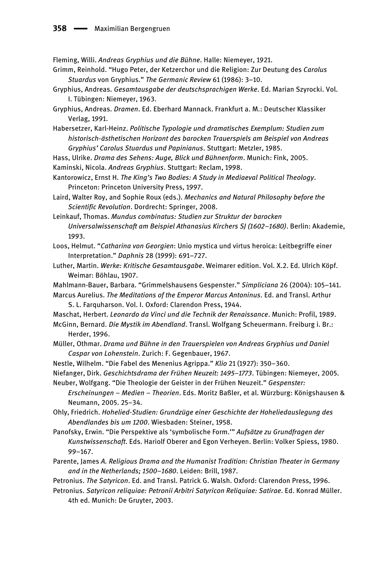Fleming, Willi. Andreas Gryphius und die Bühne. Halle: Niemeyer, 1921.

- Grimm, Reinhold. "Hugo Peter, der Ketzerchor und die Religion: Zur Deutung des Carolus Stuardus von Gryphius." The Germanic Review 61 (1986): 3–10.
- Gryphius, Andreas. Gesamtausgabe der deutschsprachigen Werke. Ed. Marian Szyrocki. Vol. I. Tübingen: Niemeyer, 1963.
- Gryphius, Andreas. Dramen. Ed. Eberhard Mannack. Frankfurt a. M.: Deutscher Klassiker Verlag, 1991.

Habersetzer, Karl-Heinz. Politische Typologie und dramatisches Exemplum: Studien zum historisch-ästhetischen Horizont des barocken Trauerspiels am Beispiel von Andreas Gryphius' Carolus Stuardus und Papinianus. Stuttgart: Metzler, 1985.

Hass, Ulrike. Drama des Sehens: Auge, Blick und Bühnenform. Munich: Fink, 2005.

Kaminski, Nicola. Andreas Gryphius. Stuttgart: Reclam, 1998.

Kantorowicz, Ernst H. The King's Two Bodies: A Study in Mediaeval Political Theology. Princeton: Princeton University Press, 1997.

Laird, Walter Roy, and Sophie Roux (eds.). Mechanics and Natural Philosophy before the Scientific Revolution. Dordrecht: Springer, 2008.

Leinkauf, Thomas. Mundus combinatus: Studien zur Struktur der barocken Universalwissenschaft am Beispiel Athanasius Kirchers SJ (1602–1680). Berlin: Akademie, 1993.

- Loos, Helmut. "Catharina von Georgien: Unio mystica und virtus heroica: Leitbegriffe einer Interpretation." Daphnis 28 (1999): 691–727.
- Luther, Martin. Werke: Kritische Gesamtausgabe. Weimarer edition. Vol. X.2. Ed. Ulrich Köpf. Weimar: Böhlau, 1907.
- Mahlmann-Bauer, Barbara. "Grimmelshausens Gespenster." Simpliciana 26 (2004): 105–141.

Marcus Aurelius. The Meditations of the Emperor Marcus Antoninus. Ed. and Transl. Arthur S. L. Farquharson. Vol. I. Oxford: Clarendon Press, 1944.

- Maschat, Herbert. Leonardo da Vinci und die Technik der Renaissance. Munich: Profil, 1989.
- McGinn, Bernard. Die Mystik im Abendland. Transl. Wolfgang Scheuermann. Freiburg i. Br.: Herder, 1996.
- Müller, Othmar. Drama und Bühne in den Trauerspielen von Andreas Gryphius und Daniel Caspar von Lohenstein. Zurich: F. Gegenbauer, 1967.
- Nestle, Wilhelm. "Die Fabel des Menenius Agrippa." Klio 21 (1927): 350–360.

Niefanger, Dirk. Geschichtsdrama der Frühen Neuzeit: 1495–1773. Tübingen: Niemeyer, 2005. Neuber, Wolfgang. "Die Theologie der Geister in der Frühen Neuzeit." Gespenster:

Erscheinungen – Medien – Theorien. Eds. Moritz Baßler, et al. Würzburg: Königshausen & Neumann, 2005. 25–34.

Ohly, Friedrich. Hohelied-Studien: Grundzüge einer Geschichte der Hoheliedauslegung des Abendlandes bis um 1200. Wiesbaden: Steiner, 1958.

Panofsky, Erwin. "Die Perspektive als 'symbolische Form.'" Aufsätze zu Grundfragen der Kunstwissenschaft. Eds. Hariolf Oberer and Egon Verheyen. Berlin: Volker Spiess, 1980. 99–167.

Parente, James A. Religious Drama and the Humanist Tradition: Christian Theater in Germany and in the Netherlands; 1500–1680. Leiden: Brill, 1987.

Petronius. The Satyricon. Ed. and Transl. Patrick G. Walsh. Oxford: Clarendon Press, 1996.

Petronius. Satyricon reliquiae: Petronii Arbitri Satyricon Reliquiae: Satirae. Ed. Konrad Müller. 4th ed. Munich: De Gruyter, 2003.